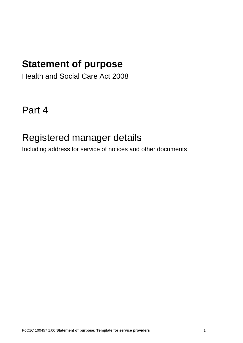# **Statement of purpose**

Health and Social Care Act 2008

Part 4

## Registered manager details

Including address for service of notices and other documents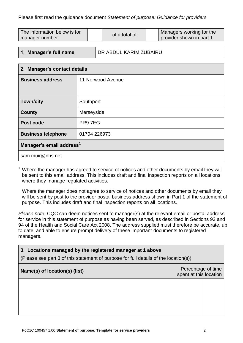| The information below is for | of a total of: |  | Managers working for the |
|------------------------------|----------------|--|--------------------------|
| manager number:              |                |  | provider shown in part 1 |

#### **1. Manager's full name** DR ABDUL KARIM ZUBAIRU

| 2. Manager's contact details         |                   |  |  |  |
|--------------------------------------|-------------------|--|--|--|
| <b>Business address</b>              | 11 Norwood Avenue |  |  |  |
|                                      |                   |  |  |  |
| <b>Town/city</b>                     | Southport         |  |  |  |
| <b>County</b>                        | Merseyside        |  |  |  |
| Post code                            | PR97EG            |  |  |  |
| <b>Business telephone</b>            | 01704 226973      |  |  |  |
| Manager's email address <sup>1</sup> |                   |  |  |  |
| sam.muir@nhs.net                     |                   |  |  |  |

 $1$  Where the manager has agreed to service of notices and other documents by email they will be sent to this email address. This includes draft and final inspection reports on all locations where they manage regulated activities.

Where the manager does not agree to service of notices and other documents by email they will be sent by post to the provider postal business address shown in Part 1 of the statement of purpose. This includes draft and final inspection reports on all locations.

*Please note:* CQC can deem notices sent to manager(s) at the relevant email or postal address for service in this statement of purpose as having been served, as described in Sections 93 and 94 of the Health and Social Care Act 2008. The address supplied must therefore be accurate, up to date, and able to ensure prompt delivery of these important documents to registered managers.

#### **3. Locations managed by the registered manager at 1 above**

(Please see part 3 of this statement of purpose for full details of the location(s))

### **Name(s) of location(s) (list)** Percentage of time

spent at this location